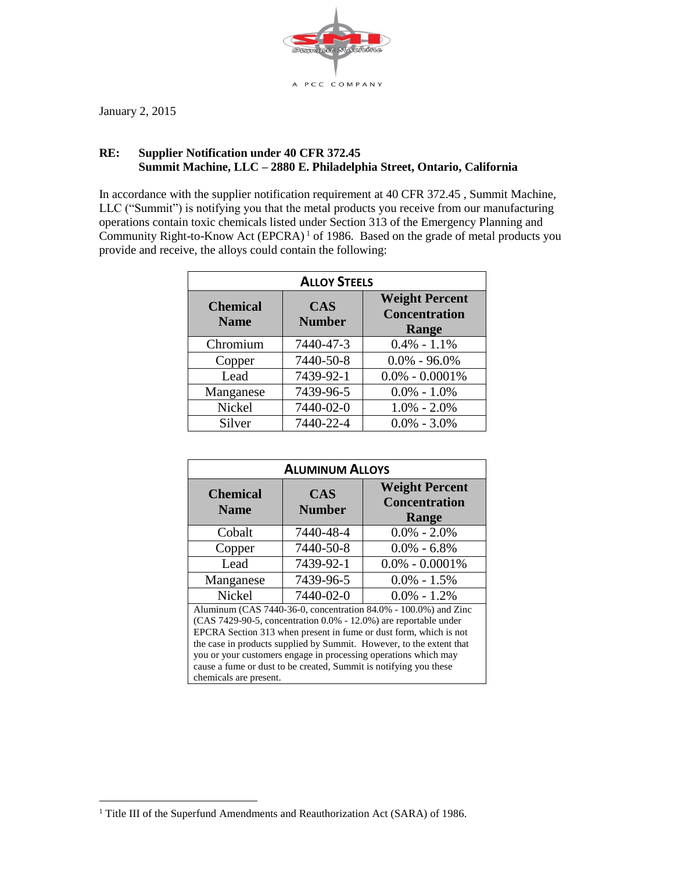

January 2, 2015

 $\overline{a}$ 

## **RE: Supplier Notification under 40 CFR 372.45 Summit Machine, LLC – 2880 E. Philadelphia Street, Ontario, California**

In accordance with the supplier notification requirement at 40 CFR 372.45 , Summit Machine, LLC ("Summit") is notifying you that the metal products you receive from our manufacturing operations contain toxic chemicals listed under Section 313 of the Emergency Planning and Community Right-to-Know Act  $(EPCRA)^1$  of 1986. Based on the grade of metal products you provide and receive, the alloys could contain the following:

| <b>ALLOY STEELS</b>            |                             |                                                        |
|--------------------------------|-----------------------------|--------------------------------------------------------|
| <b>Chemical</b><br><b>Name</b> | <b>CAS</b><br><b>Number</b> | <b>Weight Percent</b><br><b>Concentration</b><br>Range |
| Chromium                       | 7440-47-3                   | $0.4\% - 1.1\%$                                        |
| Copper                         | 7440-50-8                   | $0.0\% - 96.0\%$                                       |
| Lead                           | 7439-92-1                   | $0.0\% - 0.0001\%$                                     |
| Manganese                      | 7439-96-5                   | $0.0\% - 1.0\%$                                        |
| Nickel                         | 7440-02-0                   | $1.0\% - 2.0\%$                                        |
| Silver                         | 7440-22-4                   | $0.0\% - 3.0\%$                                        |

| <b>ALUMINUM ALLOYS</b>                                                                                                                                                                                                                                                                                                                                                                                                       |                             |                                                        |
|------------------------------------------------------------------------------------------------------------------------------------------------------------------------------------------------------------------------------------------------------------------------------------------------------------------------------------------------------------------------------------------------------------------------------|-----------------------------|--------------------------------------------------------|
| <b>Chemical</b><br><b>Name</b>                                                                                                                                                                                                                                                                                                                                                                                               | <b>CAS</b><br><b>Number</b> | <b>Weight Percent</b><br><b>Concentration</b><br>Range |
| Cobalt                                                                                                                                                                                                                                                                                                                                                                                                                       | 7440-48-4                   | $0.0\% - 2.0\%$                                        |
| Copper                                                                                                                                                                                                                                                                                                                                                                                                                       | 7440-50-8                   | $0.0\% - 6.8\%$                                        |
| Lead                                                                                                                                                                                                                                                                                                                                                                                                                         | 7439-92-1                   | $0.0\% - 0.0001\%$                                     |
| Manganese                                                                                                                                                                                                                                                                                                                                                                                                                    | 7439-96-5                   | $0.0\% - 1.5\%$                                        |
| Nickel                                                                                                                                                                                                                                                                                                                                                                                                                       | 7440-02-0                   | $0.0\% - 1.2\%$                                        |
| Aluminum (CAS 7440-36-0, concentration 84.0% - 100.0%) and Zinc<br>$(CAS 7429-90-5, concentration 0.0\% - 12.0\%)$ are reportable under<br>EPCRA Section 313 when present in fume or dust form, which is not<br>the case in products supplied by Summit. However, to the extent that<br>you or your customers engage in processing operations which may<br>cause a fume or dust to be created, Summit is notifying you these |                             |                                                        |
| chemicals are present.                                                                                                                                                                                                                                                                                                                                                                                                       |                             |                                                        |

<sup>&</sup>lt;sup>1</sup> Title III of the Superfund Amendments and Reauthorization Act (SARA) of 1986.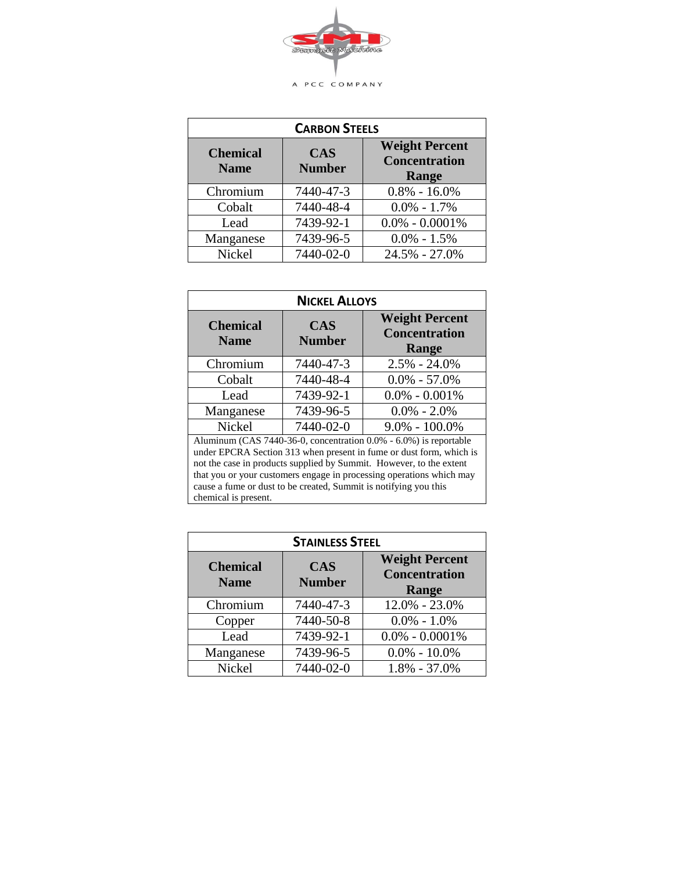

| <b>CARBON STEELS</b>           |                             |                                                        |
|--------------------------------|-----------------------------|--------------------------------------------------------|
| <b>Chemical</b><br><b>Name</b> | <b>CAS</b><br><b>Number</b> | <b>Weight Percent</b><br><b>Concentration</b><br>Range |
| Chromium                       | 7440-47-3                   | $0.8\% - 16.0\%$                                       |
| Cobalt                         | 7440-48-4                   | $0.0\% - 1.7\%$                                        |
| Lead                           | 7439-92-1                   | $0.0\% - 0.0001\%$                                     |
| Manganese                      | 7439-96-5                   | $0.0\% - 1.5\%$                                        |
| Nickel                         | 7440-02-0                   | 24.5% - 27.0%                                          |

| <b>NICKEL ALLOYS</b>                                                                                                                                                                                                                                                                                                                                                                |                             |                                                               |
|-------------------------------------------------------------------------------------------------------------------------------------------------------------------------------------------------------------------------------------------------------------------------------------------------------------------------------------------------------------------------------------|-----------------------------|---------------------------------------------------------------|
| <b>Chemical</b><br><b>Name</b>                                                                                                                                                                                                                                                                                                                                                      | <b>CAS</b><br><b>Number</b> | <b>Weight Percent</b><br><b>Concentration</b><br><b>Range</b> |
| Chromium                                                                                                                                                                                                                                                                                                                                                                            | 7440-47-3                   | $2.5\% - 24.0\%$                                              |
| Cobalt                                                                                                                                                                                                                                                                                                                                                                              | 7440-48-4                   | $0.0\% - 57.0\%$                                              |
| Lead                                                                                                                                                                                                                                                                                                                                                                                | 7439-92-1                   | $0.0\% - 0.001\%$                                             |
| Manganese                                                                                                                                                                                                                                                                                                                                                                           | 7439-96-5                   | $0.0\% - 2.0\%$                                               |
| Nickel                                                                                                                                                                                                                                                                                                                                                                              | 7440-02-0                   | $9.0\% - 100.0\%$                                             |
| Aluminum (CAS 7440-36-0, concentration 0.0% - 6.0%) is reportable<br>under EPCRA Section 313 when present in fume or dust form, which is<br>not the case in products supplied by Summit. However, to the extent<br>that you or your customers engage in processing operations which may<br>cause a fume or dust to be created, Summit is notifying you this<br>chemical is present. |                             |                                                               |

| <b>STAINLESS STEEL</b>         |                             |                                                        |
|--------------------------------|-----------------------------|--------------------------------------------------------|
| <b>Chemical</b><br><b>Name</b> | <b>CAS</b><br><b>Number</b> | <b>Weight Percent</b><br><b>Concentration</b><br>Range |
| Chromium                       | 7440-47-3                   | 12.0% - 23.0%                                          |
| Copper                         | 7440-50-8                   | $0.0\% - 1.0\%$                                        |
| Lead                           | 7439-92-1                   | $0.0\% - 0.0001\%$                                     |
| Manganese                      | 7439-96-5                   | $0.0\% - 10.0\%$                                       |
| Nickel                         | 7440-02-0                   | $1.8\% - 37.0\%$                                       |